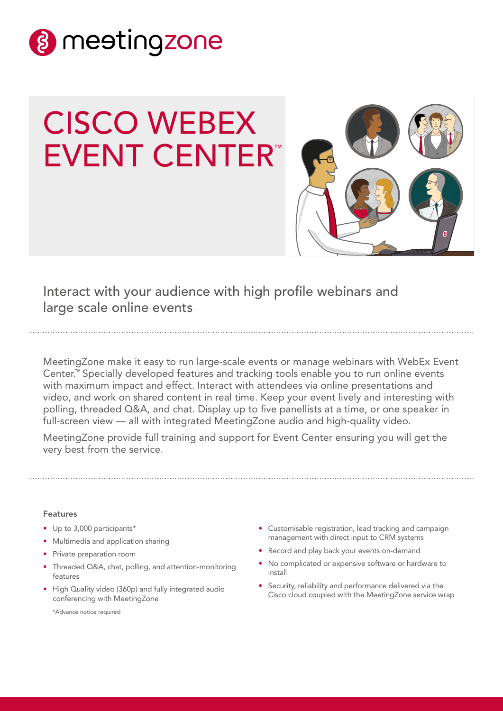

# CISCO WEBEX EVENT CENTER™



Interact with your audience with high profile webinars and large scale online events

MeetingZone make it easy to run large-scale events or manage webinars with WebEx Event Center.™ Specially developed features and tracking tools enable you to run online events with maximum impact and effect. Interact with attendees via online presentations and video, and work on shared content in real time. Keep your event lively and interesting with polling, threaded Q&A, and chat. Display up to five panellists at a time, or one speaker in full-screen view — all with integrated MeetingZone audio and high-quality video.

MeetingZone provide full training and support for Event Center ensuring you will get the very best from the service.

## Features

- Up to 3,000 participants\*
- Multimedia and application sharing
- Private preparation room
- Threaded Q&A, chat, polling, and attention-monitoring features
- High Quality video (360p) and fully integrated audio conferencing with MeetingZone

\*Advance notice required

- Customisable registration, lead tracking and campaign management with direct input to CRM systems
- Record and play back your events on-demand
- No complicated or expensive software or hardware to install
- Security, reliability and performance delivered via the Cisco cloud coupled with the MeetingZone service wrap